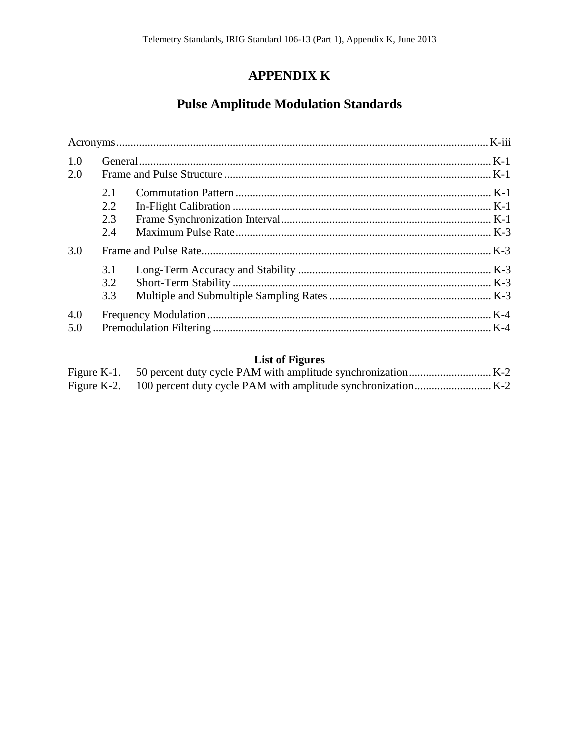# **APPENDIX K**

# **Pulse Amplitude Modulation Standards**

| 1.0 |     |  |  |  |
|-----|-----|--|--|--|
| 2.0 |     |  |  |  |
|     | 2.1 |  |  |  |
|     | 2.2 |  |  |  |
|     | 2.3 |  |  |  |
|     | 2.4 |  |  |  |
| 3.0 |     |  |  |  |
|     | 3.1 |  |  |  |
|     | 3.2 |  |  |  |
|     | 3.3 |  |  |  |
| 4.0 |     |  |  |  |
| 5.0 |     |  |  |  |

### **List of Figures**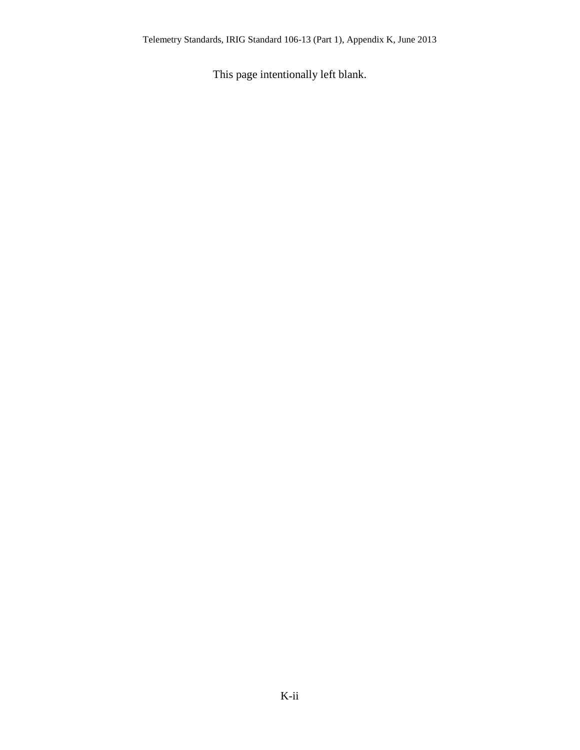This page intentionally left blank.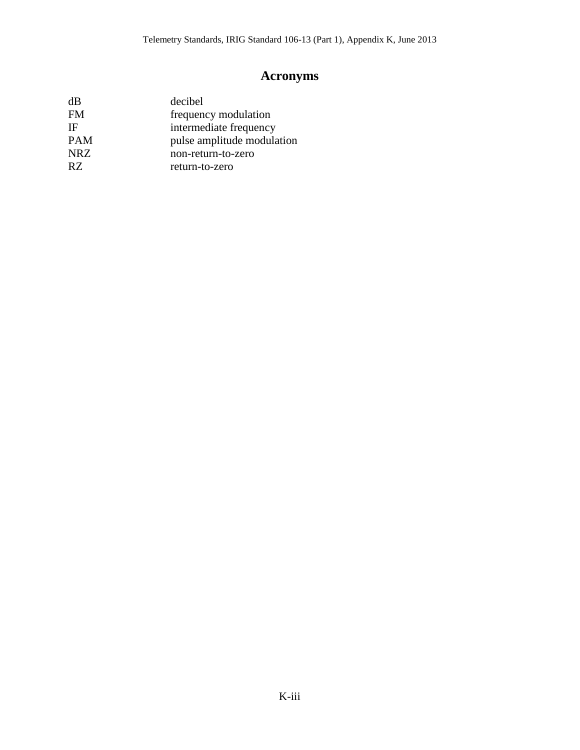# **Acronyms**

<span id="page-2-0"></span>

| dB         | decibel                    |
|------------|----------------------------|
| <b>FM</b>  | frequency modulation       |
| IF         | intermediate frequency     |
| <b>PAM</b> | pulse amplitude modulation |
| <b>NRZ</b> | non-return-to-zero         |
| RZ.        | return-to-zero             |
|            |                            |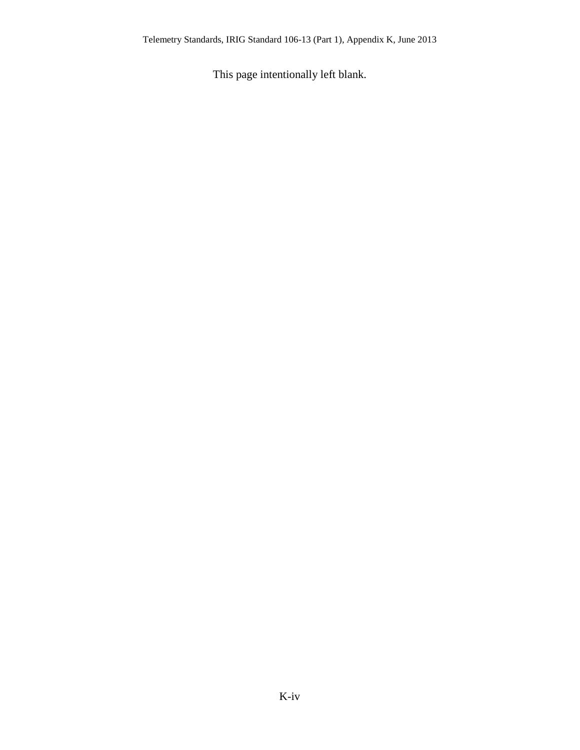This page intentionally left blank.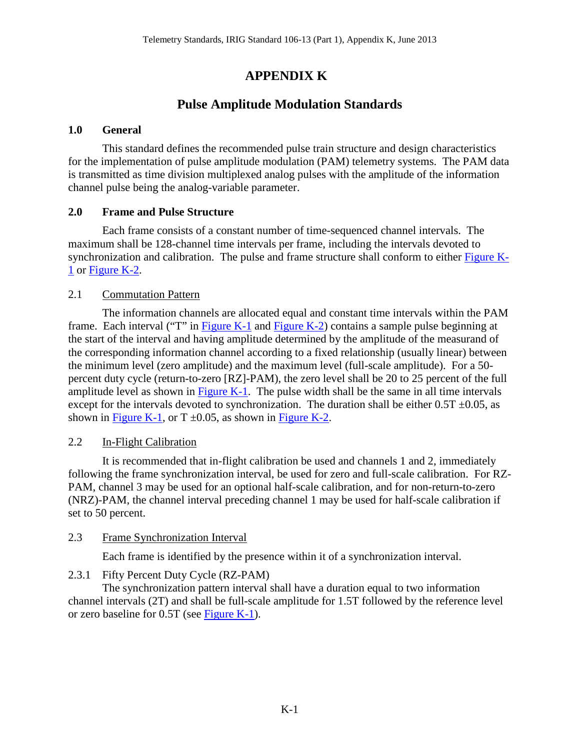# **APPENDIX K**

## **Pulse Amplitude Modulation Standards**

### <span id="page-4-0"></span>**1.0 General**

This standard defines the recommended pulse train structure and design characteristics for the implementation of pulse amplitude modulation (PAM) telemetry systems. The PAM data is transmitted as time division multiplexed analog pulses with the amplitude of the information channel pulse being the analog-variable parameter.

### <span id="page-4-1"></span>**2.0 Frame and Pulse Structure**

Each frame consists of a constant number of time-sequenced channel intervals. The maximum shall be 128-channel time intervals per frame, including the intervals devoted to synchronization and calibration. The pulse and frame structure shall conform to either [Figure K-](#page-5-0)[1](#page-5-0) or [Figure K-2.](#page-5-1)

### <span id="page-4-2"></span>2.1 Commutation Pattern

The information channels are allocated equal and constant time intervals within the PAM frame. Each interval ("T" in [Figure K-1](#page-5-0) and [Figure K-2\)](#page-5-1) contains a sample pulse beginning at the start of the interval and having amplitude determined by the amplitude of the measurand of the corresponding information channel according to a fixed relationship (usually linear) between the minimum level (zero amplitude) and the maximum level (full-scale amplitude). For a 50 percent duty cycle (return-to-zero [RZ]-PAM), the zero level shall be 20 to 25 percent of the full amplitude level as shown in [Figure K-1.](#page-5-0) The pulse width shall be the same in all time intervals except for the intervals devoted to synchronization. The duration shall be either  $0.5T \pm 0.05$ , as shown in [Figure K-1,](#page-5-0) or T  $\pm 0.05$ , as shown in [Figure K-2.](#page-5-1)

## <span id="page-4-3"></span>2.2 In-Flight Calibration

It is recommended that in-flight calibration be used and channels 1 and 2, immediately following the frame synchronization interval, be used for zero and full-scale calibration. For RZ-PAM, channel 3 may be used for an optional half-scale calibration, and for non-return-to-zero (NRZ)-PAM, the channel interval preceding channel 1 may be used for half-scale calibration if set to 50 percent.

### <span id="page-4-4"></span>2.3 Frame Synchronization Interval

Each frame is identified by the presence within it of a synchronization interval.

## 2.3.1 Fifty Percent Duty Cycle (RZ-PAM)

The synchronization pattern interval shall have a duration equal to two information channel intervals (2T) and shall be full-scale amplitude for 1.5T followed by the reference level or zero baseline for  $0.5T$  (see [Figure K-1\)](#page-5-0).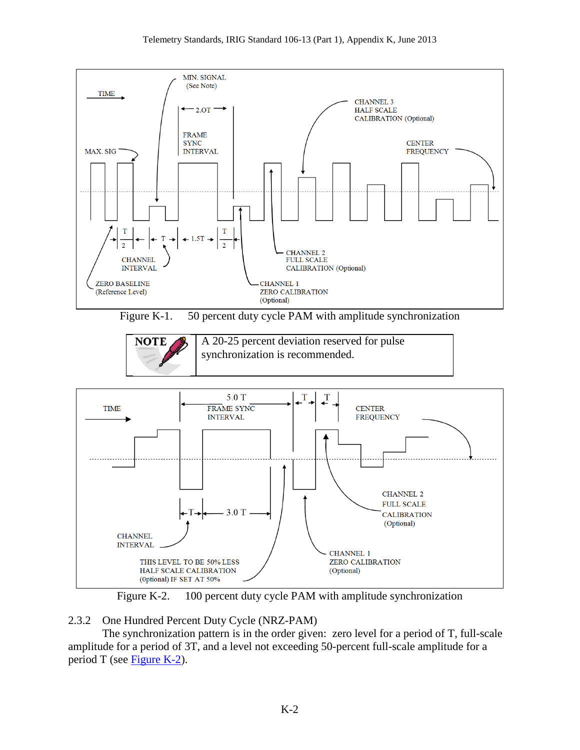<span id="page-5-0"></span>

Figure K-2. 100 percent duty cycle PAM with amplitude synchronization

### <span id="page-5-1"></span>2.3.2 One Hundred Percent Duty Cycle (NRZ-PAM)

The synchronization pattern is in the order given: zero level for a period of T, full-scale amplitude for a period of 3T, and a level not exceeding 50-percent full-scale amplitude for a period T (see  $Figure K-2$ ).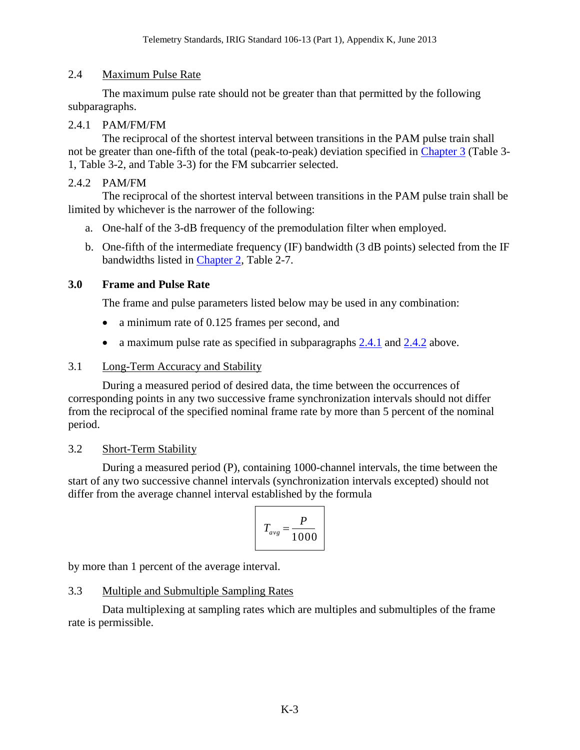#### <span id="page-6-0"></span>2.4 Maximum Pulse Rate

The maximum pulse rate should not be greater than that permitted by the following subparagraphs.

#### <span id="page-6-5"></span>2.4.1 PAM/FM/FM

The reciprocal of the shortest interval between transitions in the PAM pulse train shall not be greater than one-fifth of the total (peak-to-peak) deviation specified in [Chapter 3](http://www.wsmr.army.mil/RCCsite/Documents/106-13_Telemetry_Standards/chapter3.pdf) (Table 3- 1, Table 3-2, and Table 3-3) for the FM subcarrier selected.

### <span id="page-6-6"></span>2.4.2 PAM/FM

The reciprocal of the shortest interval between transitions in the PAM pulse train shall be limited by whichever is the narrower of the following:

- a. One-half of the 3-dB frequency of the premodulation filter when employed.
- b. One-fifth of the intermediate frequency (IF) bandwidth (3 dB points) selected from the IF bandwidths listed in [Chapter 2,](http://www.wsmr.army.mil/RCCsite/Documents/106-13_Telemetry_Standards/chapter2.pdf) Table 2-7.

#### <span id="page-6-1"></span>**3.0 Frame and Pulse Rate**

The frame and pulse parameters listed below may be used in any combination:

- a minimum rate of 0.125 frames per second, and
- a maximum pulse rate as specified in subparagraphs [2.4.1](#page-6-5) and [2.4.2](#page-6-6) above.

#### <span id="page-6-2"></span>3.1 Long-Term Accuracy and Stability

During a measured period of desired data, the time between the occurrences of corresponding points in any two successive frame synchronization intervals should not differ from the reciprocal of the specified nominal frame rate by more than 5 percent of the nominal period.

#### <span id="page-6-3"></span>3.2 Short-Term Stability

During a measured period (P), containing 1000-channel intervals, the time between the start of any two successive channel intervals (synchronization intervals excepted) should not differ from the average channel interval established by the formula

$$
T_{avg} = \frac{P}{1000}
$$

by more than 1 percent of the average interval.

### <span id="page-6-4"></span>3.3 Multiple and Submultiple Sampling Rates

Data multiplexing at sampling rates which are multiples and submultiples of the frame rate is permissible.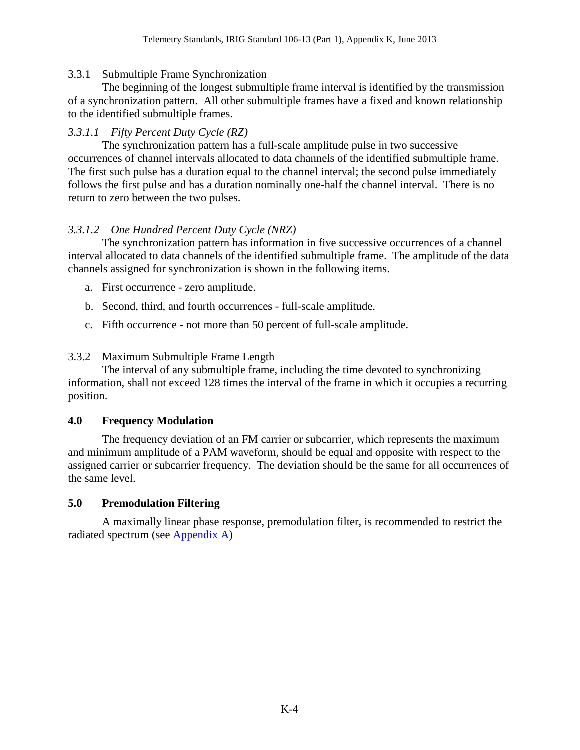#### 3.3.1 Submultiple Frame Synchronization

The beginning of the longest submultiple frame interval is identified by the transmission of a synchronization pattern. All other submultiple frames have a fixed and known relationship to the identified submultiple frames.

### *3.3.1.1 Fifty Percent Duty Cycle (RZ)*

The synchronization pattern has a full-scale amplitude pulse in two successive occurrences of channel intervals allocated to data channels of the identified submultiple frame. The first such pulse has a duration equal to the channel interval; the second pulse immediately follows the first pulse and has a duration nominally one-half the channel interval. There is no return to zero between the two pulses.

### *3.3.1.2 One Hundred Percent Duty Cycle (NRZ)*

The synchronization pattern has information in five successive occurrences of a channel interval allocated to data channels of the identified submultiple frame. The amplitude of the data channels assigned for synchronization is shown in the following items.

- a. First occurrence zero amplitude.
- b. Second, third, and fourth occurrences full-scale amplitude.
- c. Fifth occurrence not more than 50 percent of full-scale amplitude.

### 3.3.2 Maximum Submultiple Frame Length

The interval of any submultiple frame, including the time devoted to synchronizing information, shall not exceed 128 times the interval of the frame in which it occupies a recurring position.

#### <span id="page-7-0"></span>**4.0 Frequency Modulation**

The frequency deviation of an FM carrier or subcarrier, which represents the maximum and minimum amplitude of a PAM waveform, should be equal and opposite with respect to the assigned carrier or subcarrier frequency. The deviation should be the same for all occurrences of the same level.

### <span id="page-7-1"></span>**5.0 Premodulation Filtering**

A maximally linear phase response, premodulation filter, is recommended to restrict the radiated spectrum (see [Appendix A\)](http://www.wsmr.army.mil/RCCsite/Documents/106-13_Telemetry_Standards/appendixA.pdf)